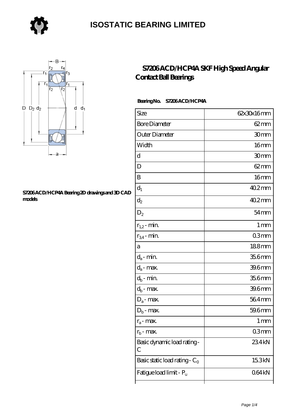

### **[ISOSTATIC BEARING LIMITED](https://store-isabelmarant.com)**



#### **[S7206 ACD/HCP4A Bearing 2D drawings and 3D CAD](https://store-isabelmarant.com/pic-931817.html) [models](https://store-isabelmarant.com/pic-931817.html)**

### **[S7206 ACD/HCP4A SKF High Speed Angular](https://store-isabelmarant.com/skf-bearings/s7206-acd-hcp4a.html) [Contact Ball Bearings](https://store-isabelmarant.com/skf-bearings/s7206-acd-hcp4a.html)**

#### **Bearing No. S7206 ACD/HCP4A**

| Size                             | 62x30x16mm       |
|----------------------------------|------------------|
| <b>Bore Diameter</b>             | $62 \text{mm}$   |
| Outer Diameter                   | 30mm             |
| Width                            | 16 <sub>mm</sub> |
| d                                | 30mm             |
| D                                | $62 \text{mm}$   |
| B                                | 16 <sub>mm</sub> |
| $d_1$                            | $402$ mm         |
| $d_2$                            | 40.2mm           |
| $\mathrm{D}_2$                   | $54 \text{mm}$   |
| $r_{1,2}$ - min.                 | 1 <sub>mm</sub>  |
| $r_{34}$ - min.                  | 03mm             |
| а                                | 188mm            |
| $d_a$ - min.                     | 35.6mm           |
| $d_a$ - max.                     | 39.6mm           |
| $d_b$ - min.                     | 35.6mm           |
| $d_b$ - max.                     | 39.6mm           |
| $D_a$ - max.                     | 564mm            |
| $\mathbf{D}_\mathrm{b}$ - max.   | 59.6mm           |
| $r_a$ - max.                     | 1 mm             |
| $r_{\rm b}$ - max.               | 03mm             |
| Basic dynamic load rating-<br>С  | 234kN            |
| Basic static load rating - $C_0$ | 15.3kN           |
| Fatigue load limit - Pu          | 064kN            |
|                                  |                  |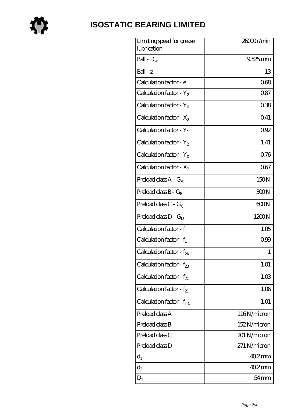

# **[ISOSTATIC BEARING LIMITED](https://store-isabelmarant.com)**

| Limiting speed for grease<br>lubrication | 26000r/min   |
|------------------------------------------|--------------|
| Ball - $D_w$                             | $9.525$ mm   |
| $Ball - z$                               | 13           |
| Calculation factor - e                   | 068          |
| Calculation factor - $Y_2$               | 0.87         |
| Calculation factor - $Y_0$               | 038          |
| Calculation factor - $X_2$               | 041          |
| Calculation factor - $Y_1$               | 092          |
| Calculation factor - $Y_2$               | 1.41         |
| Calculation factor - $Y_0$               | 0.76         |
| Calculation factor - $X_2$               | 067          |
| Preload class $A - G_A$                  | 150N         |
| Preload class $B - G_B$                  | 300N         |
| Preload class $C$ - $G_C$                | 600N         |
| Preload class $D - G_D$                  | 1200N        |
| Calculation factor - f                   | 1.05         |
| Calculation factor - $f_1$               | 099          |
| Calculation factor - f <sub>2A</sub>     | 1            |
| Calculation factor - $f_{2B}$            | 1.01         |
| Calculation factor - $f_{\chi}$          | 1.03         |
| Calculation factor - $f_{ZD}$            | 1.06         |
| Calculation factor - $f_{HC}$            | 1.01         |
| Preload class A                          | 116N/micron  |
| Preload class B                          | 152N/micron  |
| Preload class C                          | 201 N/micron |
| Preload class D                          | 271 N/micron |
| $d_1$                                    | $402$ mm     |
| $\mathrm{d}_2$                           | $402$ mm     |
| $D_2$                                    | 54 mm        |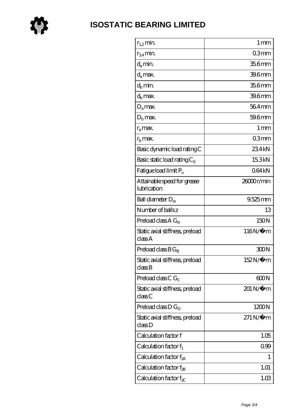

| $r_{1,2}$ min.                             | 1 <sub>mm</sub>        |
|--------------------------------------------|------------------------|
| $r_{34}$ min.                              | 03mm                   |
| $d_a$ min.                                 | 35.6mm                 |
| $d_a$ max.                                 | 39.6mm                 |
| $d_h$ min.                                 | 35.6mm                 |
| $d_h$ max.                                 | 39.6mm                 |
| $D_a$ max.                                 | 564mm                  |
| $D_{b}$ max.                               | 59.6mm                 |
| $r_a$ max.                                 | $1 \,\mathrm{mm}$      |
| $rb$ max.                                  | 03 <sub>mm</sub>       |
| Basic dynamic load rating C                | 234kN                  |
| Basic static load rating $C_0$             | 15.3kN                 |
| Fatigue load limit Pu                      | 064kN                  |
| Attainable speed for grease<br>lubrication | 26000r/min             |
| Ball diameter $D_w$                        | $9525$ mm              |
| Number of balls z                          | 13                     |
| Preload class $AG_A$                       | 150N                   |
| Static axial stiffness, preload<br>classA  | 116N/μ m               |
| Preload class $BG_B$                       | 300N                   |
| Static axial stiffness, preload<br>classB  | 152N/μ m               |
| Preload class C $G_C$                      | 600N                   |
| Static axial stiffness, preload<br>classC  | 201 N/μ m              |
| Preload class $D G_D$                      | 1200N                  |
| Static axial stiffness, preload<br>classD  | $271\,\mathrm{N}\mu$ m |
| Calculation factor f                       | 1.05                   |
| Calculation factor $f_1$                   | 0.99                   |
| C alculation factor $f_{2A}$               | 1                      |
| Calculation factor $f_{\rm 2B}$            | 1.01                   |
| Calculation factor $f_{\chi}$              | 1.03                   |